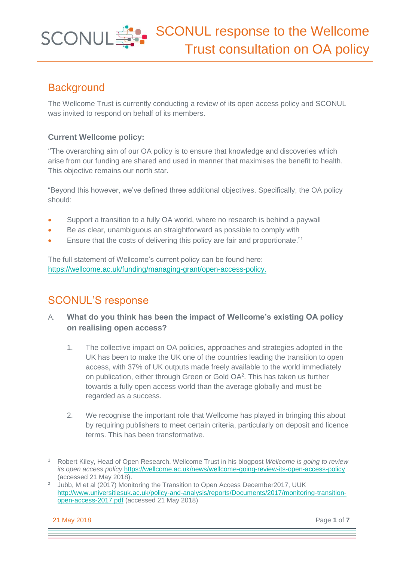## **Background**

The Wellcome Trust is currently conducting a review of its open access policy and SCONUL was invited to respond on behalf of its members.

#### **Current Wellcome policy:**

''The overarching aim of our OA policy is to ensure that knowledge and discoveries which arise from our funding are shared and used in manner that maximises the benefit to health. This objective remains our north star.

"Beyond this however, we've defined three additional objectives. Specifically, the OA policy should:

- Support a transition to a fully OA world, where no research is behind a paywall
- Be as clear, unambiguous an straightforward as possible to comply with
- Ensure that the costs of delivering this policy are fair and proportionate."<sup>1</sup>

The full statement of Wellcome's current policy can be found here: [https://wellcome.ac.uk/funding/managing-grant/open-access-policy.](https://wellcome.ac.uk/funding/managing-grant/open-access-policy)

## SCONUL'S response

- A. **What do you think has been the impact of Wellcome's existing OA policy on realising open access?**
	- 1. The collective impact on OA policies, approaches and strategies adopted in the UK has been to make the UK one of the countries leading the transition to open access, with 37% of UK outputs made freely available to the world immediately on publication, either through Green or Gold  $OA<sup>2</sup>$ . This has taken us further towards a fully open access world than the average globally and must be regarded as a success.
	- 2. We recognise the important role that Wellcome has played in bringing this about by requiring publishers to meet certain criteria, particularly on deposit and licence terms. This has been transformative.

21 May 2018 Page **1** of **7**

<sup>1</sup> Robert Kiley, Head of Open Research, Wellcome Trust in his blogpost *Wellcome is going to review its open access policy* <https://wellcome.ac.uk/news/wellcome-going-review-its-open-access-policy> (accessed 21 May 2018).

<sup>&</sup>lt;sup>2</sup> Jubb, M et al (2017) Monitoring the Transition to Open Access December2017, UUK [http://www.universitiesuk.ac.uk/policy-and-analysis/reports/Documents/2017/monitoring-transition](http://www.universitiesuk.ac.uk/policy-and-analysis/reports/Documents/2017/monitoring-transition-open-access-2017.pdf)[open-access-2017.pdf](http://www.universitiesuk.ac.uk/policy-and-analysis/reports/Documents/2017/monitoring-transition-open-access-2017.pdf) (accessed 21 May 2018)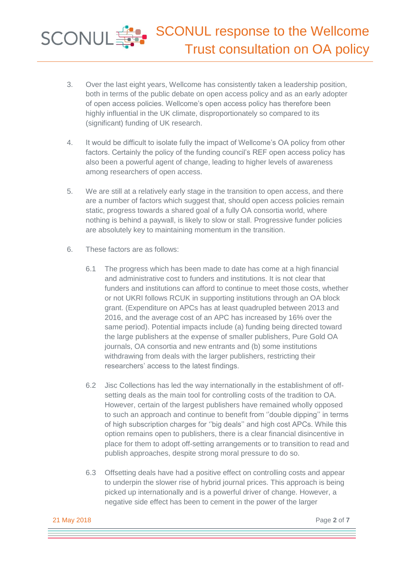- 3. Over the last eight years, Wellcome has consistently taken a leadership position, both in terms of the public debate on open access policy and as an early adopter of open access policies. Wellcome's open access policy has therefore been highly influential in the UK climate, disproportionately so compared to its (significant) funding of UK research.
- 4. It would be difficult to isolate fully the impact of Wellcome's OA policy from other factors. Certainly the policy of the funding council's REF open access policy has also been a powerful agent of change, leading to higher levels of awareness among researchers of open access.
- 5. We are still at a relatively early stage in the transition to open access, and there are a number of factors which suggest that, should open access policies remain static, progress towards a shared goal of a fully OA consortia world, where nothing is behind a paywall, is likely to slow or stall. Progressive funder policies are absolutely key to maintaining momentum in the transition.
- 6. These factors are as follows:
	- 6.1 The progress which has been made to date has come at a high financial and administrative cost to funders and institutions. It is not clear that funders and institutions can afford to continue to meet those costs, whether or not UKRI follows RCUK in supporting institutions through an OA block grant. (Expenditure on APCs has at least quadrupled between 2013 and 2016, and the average cost of an APC has increased by 16% over the same period). Potential impacts include (a) funding being directed toward the large publishers at the expense of smaller publishers, Pure Gold OA journals, OA consortia and new entrants and (b) some institutions withdrawing from deals with the larger publishers, restricting their researchers' access to the latest findings.
	- 6.2 Jisc Collections has led the way internationally in the establishment of offsetting deals as the main tool for controlling costs of the tradition to OA. However, certain of the largest publishers have remained wholly opposed to such an approach and continue to benefit from ''double dipping'' in terms of high subscription charges for ''big deals'' and high cost APCs. While this option remains open to publishers, there is a clear financial disincentive in place for them to adopt off-setting arrangements or to transition to read and publish approaches, despite strong moral pressure to do so.
	- 6.3 Offsetting deals have had a positive effect on controlling costs and appear to underpin the slower rise of hybrid journal prices. This approach is being picked up internationally and is a powerful driver of change. However, a negative side effect has been to cement in the power of the larger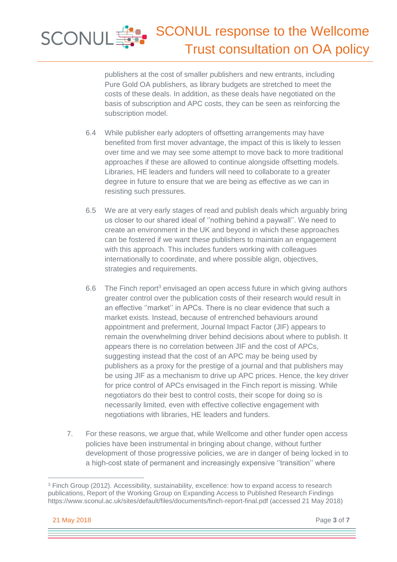# SCONUL SCONUL response to the Wellcome Trust consultation on OA policy

publishers at the cost of smaller publishers and new entrants, including Pure Gold OA publishers, as library budgets are stretched to meet the costs of these deals. In addition, as these deals have negotiated on the basis of subscription and APC costs, they can be seen as reinforcing the subscription model.

- 6.4 While publisher early adopters of offsetting arrangements may have benefited from first mover advantage, the impact of this is likely to lessen over time and we may see some attempt to move back to more traditional approaches if these are allowed to continue alongside offsetting models. Libraries, HE leaders and funders will need to collaborate to a greater degree in future to ensure that we are being as effective as we can in resisting such pressures.
- 6.5 We are at very early stages of read and publish deals which arguably bring us closer to our shared ideal of ''nothing behind a paywall''. We need to create an environment in the UK and beyond in which these approaches can be fostered if we want these publishers to maintain an engagement with this approach. This includes funders working with colleagues internationally to coordinate, and where possible align, objectives, strategies and requirements.
- 6.6 The Finch report<sup>3</sup> envisaged an open access future in which giving authors greater control over the publication costs of their research would result in an effective ''market'' in APCs. There is no clear evidence that such a market exists. Instead, because of entrenched behaviours around appointment and preferment, Journal Impact Factor (JIF) appears to remain the overwhelming driver behind decisions about where to publish. It appears there is no correlation between JIF and the cost of APCs, suggesting instead that the cost of an APC may be being used by publishers as a proxy for the prestige of a journal and that publishers may be using JIF as a mechanism to drive up APC prices. Hence, the key driver for price control of APCs envisaged in the Finch report is missing. While negotiators do their best to control costs, their scope for doing so is necessarily limited, even with effective collective engagement with negotiations with libraries, HE leaders and funders.
- 7. For these reasons, we argue that, while Wellcome and other funder open access policies have been instrumental in bringing about change, without further development of those progressive policies, we are in danger of being locked in to a high-cost state of permanent and increasingly expensive ''transition'' where

<sup>&</sup>lt;sup>3</sup> Finch Group (2012). Accessibility, sustainability, excellence: how to expand access to research publications, Report of the Working Group on Expanding Access to Published Research Findings https://www.sconul.ac.uk/sites/default/files/documents/finch-report-final.pdf (accessed 21 May 2018)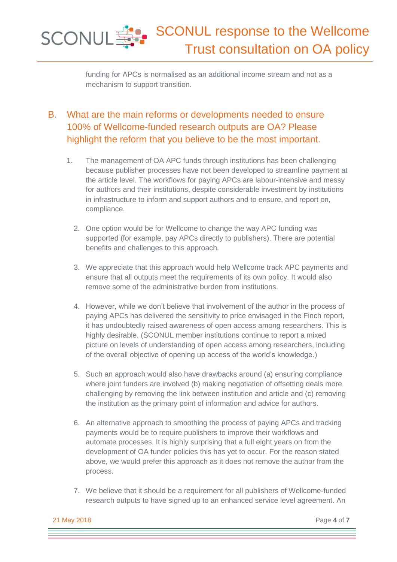SCONUL response to the Wellcome SCONUL SEP Trust consultation on OA policy

> funding for APCs is normalised as an additional income stream and not as a mechanism to support transition.

### B. What are the main reforms or developments needed to ensure 100% of Wellcome-funded research outputs are OA? Please highlight the reform that you believe to be the most important.

- 1. The management of OA APC funds through institutions has been challenging because publisher processes have not been developed to streamline payment at the article level. The workflows for paying APCs are labour-intensive and messy for authors and their institutions, despite considerable investment by institutions in infrastructure to inform and support authors and to ensure, and report on, compliance.
	- 2. One option would be for Wellcome to change the way APC funding was supported (for example, pay APCs directly to publishers). There are potential benefits and challenges to this approach.
	- 3. We appreciate that this approach would help Wellcome track APC payments and ensure that all outputs meet the requirements of its own policy. It would also remove some of the administrative burden from institutions.
	- 4. However, while we don't believe that involvement of the author in the process of paying APCs has delivered the sensitivity to price envisaged in the Finch report, it has undoubtedly raised awareness of open access among researchers. This is highly desirable. (SCONUL member institutions continue to report a mixed picture on levels of understanding of open access among researchers, including of the overall objective of opening up access of the world's knowledge.)
	- 5. Such an approach would also have drawbacks around (a) ensuring compliance where joint funders are involved (b) making negotiation of offsetting deals more challenging by removing the link between institution and article and (c) removing the institution as the primary point of information and advice for authors.
	- 6. An alternative approach to smoothing the process of paying APCs and tracking payments would be to require publishers to improve their workflows and automate processes. It is highly surprising that a full eight years on from the development of OA funder policies this has yet to occur. For the reason stated above, we would prefer this approach as it does not remove the author from the process.
	- 7. We believe that it should be a requirement for all publishers of Wellcome-funded research outputs to have signed up to an enhanced service level agreement. An

21 May 2018 Page **4** of **7**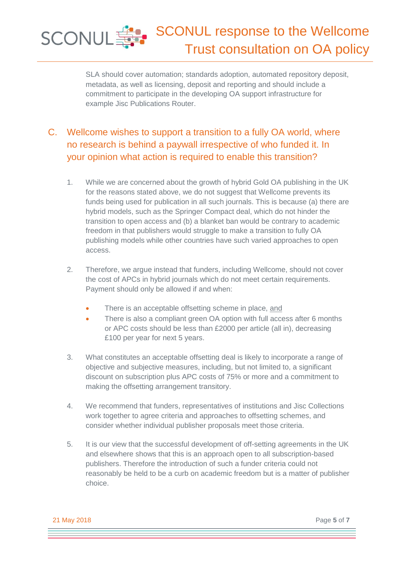#### SCONUL response to the Wellcome **SCONUL SET** Trust consultation on OA policy

SLA should cover automation; standards adoption, automated repository deposit, metadata, as well as licensing, deposit and reporting and should include a commitment to participate in the developing OA support infrastructure for example Jisc Publications Router.

### C. Wellcome wishes to support a transition to a fully OA world, where no research is behind a paywall irrespective of who funded it. In your opinion what action is required to enable this transition?

- 1. While we are concerned about the growth of hybrid Gold OA publishing in the UK for the reasons stated above, we do not suggest that Wellcome prevents its funds being used for publication in all such journals. This is because (a) there are hybrid models, such as the Springer Compact deal, which do not hinder the transition to open access and (b) a blanket ban would be contrary to academic freedom in that publishers would struggle to make a transition to fully OA publishing models while other countries have such varied approaches to open access.
- 2. Therefore, we argue instead that funders, including Wellcome, should not cover the cost of APCs in hybrid journals which do not meet certain requirements. Payment should only be allowed if and when:
	- There is an acceptable offsetting scheme in place, and
	- There is also a compliant green OA option with full access after 6 months or APC costs should be less than £2000 per article (all in), decreasing £100 per year for next 5 years.
- 3. What constitutes an acceptable offsetting deal is likely to incorporate a range of objective and subjective measures, including, but not limited to, a significant discount on subscription plus APC costs of 75% or more and a commitment to making the offsetting arrangement transitory.
- 4. We recommend that funders, representatives of institutions and Jisc Collections work together to agree criteria and approaches to offsetting schemes, and consider whether individual publisher proposals meet those criteria.
- 5. It is our view that the successful development of off-setting agreements in the UK and elsewhere shows that this is an approach open to all subscription-based publishers. Therefore the introduction of such a funder criteria could not reasonably be held to be a curb on academic freedom but is a matter of publisher choice.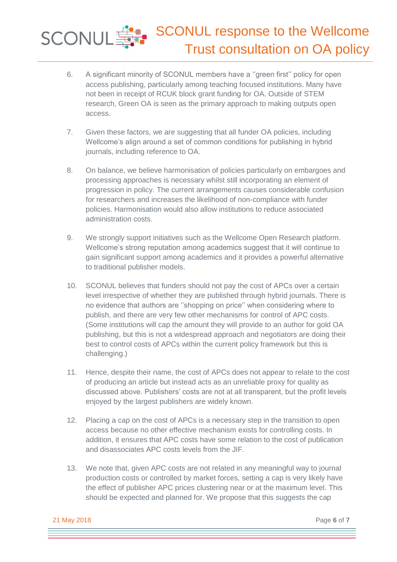# SCONUL FREE SCONUL response to the Wellcome Trust consultation on OA policy

- 6. A significant minority of SCONUL members have a ''green first'' policy for open access publishing, particularly among teaching focused institutions. Many have not been in receipt of RCUK block grant funding for OA. Outside of STEM research, Green OA is seen as the primary approach to making outputs open access.
- 7. Given these factors, we are suggesting that all funder OA policies, including Wellcome's align around a set of common conditions for publishing in hybrid journals, including reference to OA.
- 8. On balance, we believe harmonisation of policies particularly on embargoes and processing approaches is necessary whilst still incorporating an element of progression in policy. The current arrangements causes considerable confusion for researchers and increases the likelihood of non-compliance with funder policies. Harmonisation would also allow institutions to reduce associated administration costs.
- 9. We strongly support initiatives such as the Wellcome Open Research platform. Wellcome's strong reputation among academics suggest that it will continue to gain significant support among academics and it provides a powerful alternative to traditional publisher models.
- 10. SCONUL believes that funders should not pay the cost of APCs over a certain level irrespective of whether they are published through hybrid journals. There is no evidence that authors are ''shopping on price'' when considering where to publish, and there are very few other mechanisms for control of APC costs. (Some institutions will cap the amount they will provide to an author for gold OA publishing, but this is not a widespread approach and negotiators are doing their best to control costs of APCs within the current policy framework but this is challenging.)
- 11. Hence, despite their name, the cost of APCs does not appear to relate to the cost of producing an article but instead acts as an unreliable proxy for quality as discussed above. Publishers' costs are not at all transparent, but the profit levels enjoyed by the largest publishers are widely known.
- 12. Placing a cap on the cost of APCs is a necessary step in the transition to open access because no other effective mechanism exists for controlling costs. In addition, it ensures that APC costs have some relation to the cost of publication and disassociates APC costs levels from the JIF.
- 13. We note that, given APC costs are not related in any meaningful way to journal production costs or controlled by market forces, setting a cap is very likely have the effect of publisher APC prices clustering near or at the maximum level. This should be expected and planned for. We propose that this suggests the cap